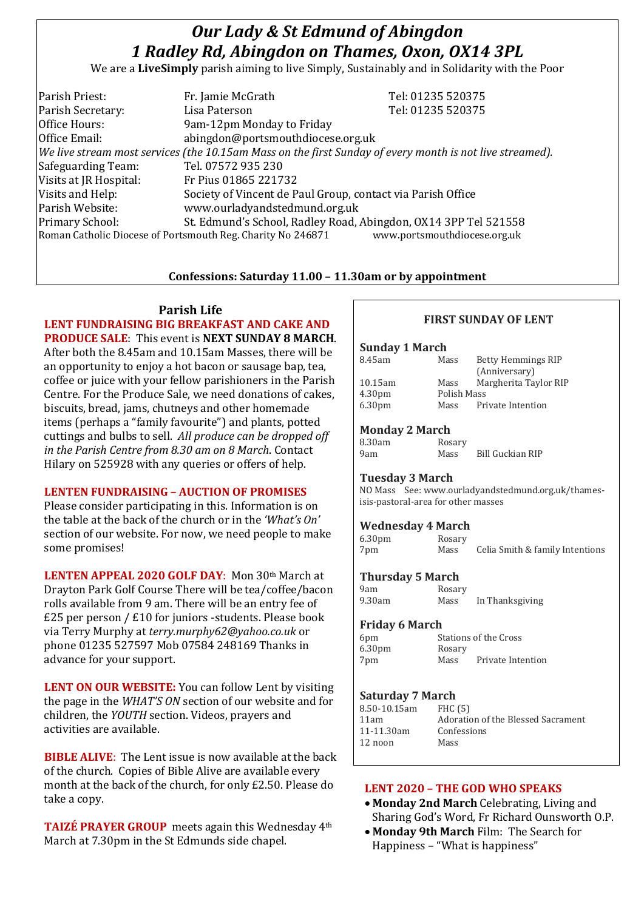# *Our Lady & St Edmund of Abingdon 1 Radley Rd, Abingdon on Thames, Oxon, OX14 3PL*

We are a **LiveSimply** parish aiming to live Simply, Sustainably and in Solidarity with the Poor

| Parish Priest:                                                                              | Fr. Jamie McGrath                                                                                        | Tel: 01235 520375 |  |
|---------------------------------------------------------------------------------------------|----------------------------------------------------------------------------------------------------------|-------------------|--|
| Parish Secretary:                                                                           | Lisa Paterson                                                                                            | Tel: 01235 520375 |  |
| Office Hours:                                                                               | 9am-12pm Monday to Friday                                                                                |                   |  |
| Office Email:                                                                               | abingdon@portsmouthdiocese.org.uk                                                                        |                   |  |
|                                                                                             | We live stream most services (the 10.15am Mass on the first Sunday of every month is not live streamed). |                   |  |
| Safeguarding Team:                                                                          | Tel. 07572 935 230                                                                                       |                   |  |
| Visits at JR Hospital:                                                                      | Fr Pius 01865 221732                                                                                     |                   |  |
| Visits and Help:                                                                            | Society of Vincent de Paul Group, contact via Parish Office                                              |                   |  |
| Parish Website:                                                                             | www.ourladyandstedmund.org.uk                                                                            |                   |  |
| <b>Primary School:</b>                                                                      | St. Edmund's School, Radley Road, Abingdon, OX14 3PP Tel 521558                                          |                   |  |
| www.portsmouthdiocese.org.uk<br>Roman Catholic Diocese of Portsmouth Reg. Charity No 246871 |                                                                                                          |                   |  |
|                                                                                             |                                                                                                          |                   |  |

### **Confessions: Saturday 11.00 – 11.30am or by appointment**

#### **Parish Life**

**LENT FUNDRAISING BIG BREAKFAST AND CAKE AND PRODUCE SALE**: This event is **NEXT SUNDAY 8 MARCH**. After both the 8.45am and 10.15am Masses, there will be an opportunity to enjoy a hot bacon or sausage bap, tea, coffee or juice with your fellow parishioners in the Parish Centre. For the Produce Sale, we need donations of cakes, biscuits, bread, jams, chutneys and other homemade items (perhaps a "family favourite") and plants, potted cuttings and bulbs to sell. *All produce can be dropped off in the Parish Centre from 8.30 am on 8 March*. Contact Hilary on 525928 with any queries or offers of help.

## **LENTEN FUNDRAISING – AUCTION OF PROMISES**

Please consider participating in this. Information is on the table at the back of the church or in the *'What's On'* section of our website. For now, we need people to make some promises!

**LENTEN APPEAL 2020 GOLF DAY**: Mon 30th March at Drayton Park Golf Course There will be tea/coffee/bacon rolls available from 9 am. There will be an entry fee of £25 per person / £10 for juniors -students. Please book via Terry Murphy at *terry.murphy62@yahoo.co.uk* or phone 01235 527597 Mob 07584 248169 Thanks in advance for your support.

**LENT ON OUR WEBSITE:** You can follow Lent by visiting the page in the *WHAT'S ON* section of our website and for children, the *YOUTH* section. Videos, prayers and activities are available.

**BIBLE ALIVE**: The Lent issue is now available at the back of the church. Copies of Bible Alive are available every month at the back of the church, for only £2.50. Please do take a copy.

**TAIZÉ PRAYER GROUP** meets again this Wednesday 4th March at 7.30pm in the St Edmunds side chapel.

# **FIRST SUNDAY OF LENT**

| <b>Sunday 1 March</b>                                                                     |                |                                 |  |  |
|-------------------------------------------------------------------------------------------|----------------|---------------------------------|--|--|
| 8.45am                                                                                    | Mass           | Betty Hemmings RIP              |  |  |
|                                                                                           |                | (Anniversary)                   |  |  |
| 10.15am                                                                                   | Mass           | Margherita Taylor RIP           |  |  |
| 4.30 <sub>pm</sub>                                                                        | Polish Mass    |                                 |  |  |
| 6.30 <sub>pm</sub>                                                                        | Mass           | Private Intention               |  |  |
| <b>Monday 2 March</b>                                                                     |                |                                 |  |  |
| 8.30am                                                                                    | Rosary         |                                 |  |  |
| 9am                                                                                       | Mass           | <b>Bill Guckian RIP</b>         |  |  |
| <b>Tuesday 3 March</b>                                                                    |                |                                 |  |  |
|                                                                                           |                |                                 |  |  |
| NO Mass See: www.ourladyandstedmund.org.uk/thames-<br>isis-pastoral-area for other masses |                |                                 |  |  |
|                                                                                           |                |                                 |  |  |
| <b>Wednesday 4 March</b>                                                                  |                |                                 |  |  |
| 6.30 <sub>pm</sub>                                                                        | Rosary         |                                 |  |  |
| 7pm                                                                                       | Mass           | Celia Smith & family Intentions |  |  |
| <b>Thursday 5 March</b>                                                                   |                |                                 |  |  |
| 9am                                                                                       | Rosary         |                                 |  |  |
| 9.30am                                                                                    | Mass           | In Thanksgiving                 |  |  |
| <b>Friday 6 March</b>                                                                     |                |                                 |  |  |
| <b>Stations of the Cross</b><br>6pm                                                       |                |                                 |  |  |
| 6.30 <sub>pm</sub>                                                                        | Rosary         |                                 |  |  |
| 7pm                                                                                       |                | Mass Private Intention          |  |  |
|                                                                                           |                |                                 |  |  |
|                                                                                           |                |                                 |  |  |
| <b>Saturday 7 March</b>                                                                   |                |                                 |  |  |
| 8.50-10.15am                                                                              | <b>FHC</b> (5) |                                 |  |  |

| 8.50-10.15am | FHC(5)                             |
|--------------|------------------------------------|
| 11am         | Adoration of the Blessed Sacrament |
| 11-11.30am   | Confessions                        |
| 12 noon      | Mass                               |
|              |                                    |

#### **LENT 2020 – THE GOD WHO SPEAKS**

- **Monday 2nd March** Celebrating, Living and Sharing God's Word, Fr Richard Ounsworth O.P.
- **Monday 9th March** Film: The Search for Happiness – "What is happiness"